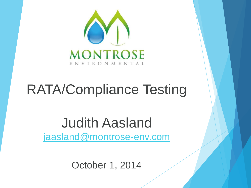

# RATA/Compliance Testing

#### Judith Aasland [jaasland@montrose-env.com](mailto:jaasland@montrose-env.com)

October 1, 2014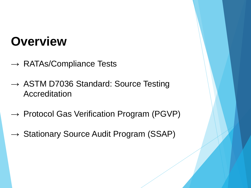#### **Overview**

- $\rightarrow$  RATAs/Compliance Tests
- $\rightarrow$  ASTM D7036 Standard: Source Testing Accreditation
- $\rightarrow$  Protocol Gas Verification Program (PGVP)
- $\rightarrow$  Stationary Source Audit Program (SSAP)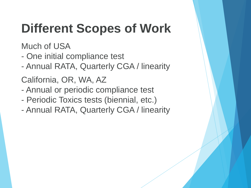## **Different Scopes of Work**

Much of USA

- One initial compliance test
- Annual RATA, Quarterly CGA / linearity

California, OR, WA, AZ

- Annual or periodic compliance test
- Periodic Toxics tests (biennial, etc.)
- Annual RATA, Quarterly CGA / linearity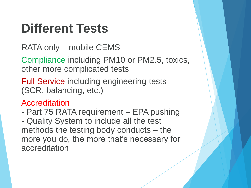#### **Different Tests**

RATA only – mobile CEMS

Compliance including PM10 or PM2.5, toxics, other more complicated tests

Full Service including engineering tests (SCR, balancing, etc.)

**Accreditation** 

- Part 75 RATA requirement – EPA pushing - Quality System to include all the test methods the testing body conducts – the more you do, the more that's necessary for accreditation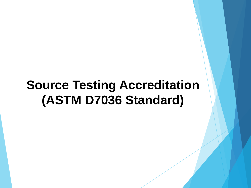#### **Source Testing Accreditation (ASTM D7036 Standard)**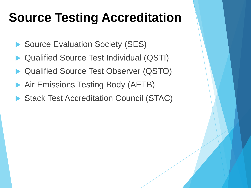#### **Source Testing Accreditation**

- Source Evaluation Society (SES)
- Qualified Source Test Individual (QSTI)
- Qualified Source Test Observer (QSTO)
- Air Emissions Testing Body (AETB)
- Stack Test Accreditation Council (STAC)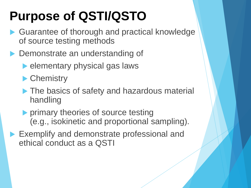## **Purpose of QSTI/QSTO**

- ▶ Guarantee of thorough and practical knowledge of source testing methods
- ▶ Demonstrate an understanding of
	- elementary physical gas laws
	- **Chemistry**
	- The basics of safety and hazardous material handling
	- **Perimary theories of source testing** (e.g., isokinetic and proportional sampling).
- **Exemplify and demonstrate professional and** ethical conduct as a QSTI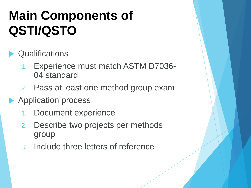## **Main Components of QSTI/QSTO**

#### **Cualifications**

- 1. Experience must match ASTM D7036- 04 standard
- 2. Pass at least one method group exam
- Application process
	- 1. Document experience
	- 2. Describe two projects per methods group
	- 3. Include three letters of reference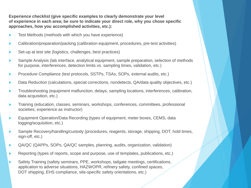**Experience checklist (give specific examples to clearly demonstrate your level of experience in each area; be sure to indicate your direct role, why you chose specific approaches, how you accomplished activities, etc.):** 

- Test Methods (methods with which you have experience)
- Calibration/preparation/packing (calibration equipment, procedures, pre-test activities)
- Set-up at test site (logistics, challenges, best practices)
- Sample Analysis (lab interface, analytical equipment, sample preparation, selection of methods for purpose, interferences, detection limits vs. sampling times, validation, etc.)
- Procedure Compliance (test protocols, SSTPs, TSAs, SOPs, external audits, etc.)
- Data Reduction (calculations, special corrections, nondetects, QA/data quality objectives, etc.)
- Troubleshooting (equipment malfunction, delays, sampling locations, interferences, calibration, data acquisition, etc.)
- Training (education, classes, seminars, workshops, conferences, committees, professional societies; experience as instructor)
- Equipment Operation/Data Recording (types of equipment, meter boxes, CEMS, data logging/acquisition, etc.)
- Sample Recovery/handling/custody (procedures, reagents, storage, shipping, DOT, hold times, sign-off, etc.)
- QA/QC (QAPPs, SOPs, QA/QC samples, planning, audits, organization, validation)
- Reporting (types of reports, scope and purpose, use of templates, publications, etc.)
- ▶ Safety Training (safety seminars, PPE, workshops, tailgate meetings, certifications, application to adverse situations, HAZWOPR, refinery safety, confined spaces, DOT shipping, EHS compliance, site-specific safety orientations, etc.)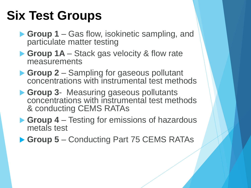#### **Six Test Groups**

- ▶ Group 1 Gas flow, isokinetic sampling, and particulate matter testing
- ▶ Group 1A Stack gas velocity & flow rate measurements
- **Group 2** Sampling for gaseous pollutant concentrations with instrumental test methods
- **Group 3** Measuring gaseous pollutants concentrations with instrumental test methods & conducting CEMS RATAs
- **► Group 4** Testing for emissions of hazardous metals test
- ▶ Group 5 Conducting Part 75 CEMS RATAs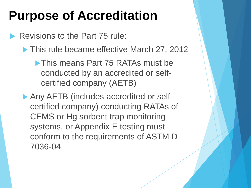#### **Purpose of Accreditation**

Revisions to the Part 75 rule:

▶ This rule became effective March 27, 2012

**This means Part 75 RATAs must be** conducted by an accredited or selfcertified company (AETB)

Any AETB (includes accredited or selfcertified company) conducting RATAs of CEMS or Hg sorbent trap monitoring systems, or Appendix E testing must conform to the requirements of ASTM D 7036-04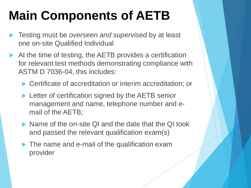## **Main Components of AETB**

- Testing must be *overseen and supervised* by at least one on-site Qualified Individual
- At the time of testing, the AETB provides a certification for relevant test methods demonstrating compliance with ASTM D 7036-04, this includes:
	- ▶ Certificate of accreditation or interim accreditation; or
	- **Letter of certification signed by the AETB senior** management and name, telephone number and email of the AETB;
	- Name of the on-site QI and the date that the QI took and passed the relevant qualification exam(s)
	- ▶ The name and e-mail of the qualification exam provider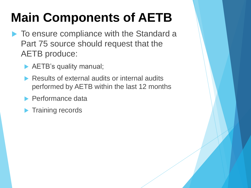## **Main Components of AETB**

- ▶ To ensure compliance with the Standard a Part 75 source should request that the AETB produce:
	- AETB's quality manual;
	- Results of external audits or internal audits performed by AETB within the last 12 months
	- **Performance data**
	- **Training records**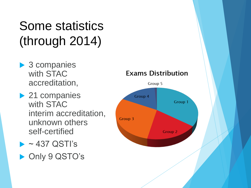#### Some statistics (through 2014)

- ▶ 3 companies with STAC accreditation,
- ▶ 21 companies with STAC interim accreditation, unknown others self-certified
- $\blacktriangleright$  ~437 QSTI's ▶ Only 9 QSTO's

#### **Exams Distribution**

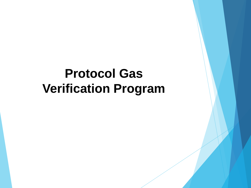#### **Protocol Gas Verification Program**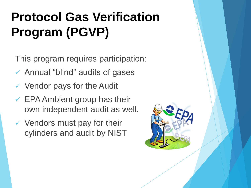## **Protocol Gas Verification Program (PGVP)**

This program requires participation:

- Annual "blind" audits of gases
- $\checkmark$  Vendor pays for the Audit
- $\checkmark$  EPA Ambient group has their own independent audit as well.
- $\checkmark$  Vendors must pay for their cylinders and audit by NIST

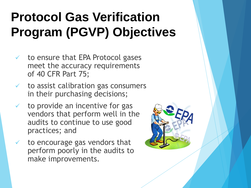## **Protocol Gas Verification Program (PGVP) Objectives**

- $\checkmark$  to ensure that EPA Protocol gases meet the accuracy requirements of 40 CFR Part 75;
- $\checkmark$  to assist calibration gas consumers in their purchasing decisions;
- $\checkmark$  to provide an incentive for gas vendors that perform well in the audits to continue to use good practices; and
- $\checkmark$  to encourage gas vendors that perform poorly in the audits to make improvements.

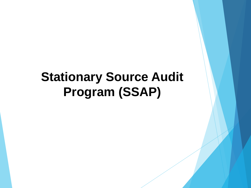#### **Stationary Source Audit Program (SSAP)**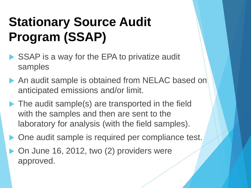## **Stationary Source Audit Program (SSAP)**

- ▶ SSAP is a way for the EPA to privatize audit samples
- An audit sample is obtained from NELAC based on anticipated emissions and/or limit.
- ▶ The audit sample(s) are transported in the field with the samples and then are sent to the laboratory for analysis (with the field samples).
- One audit sample is required per compliance test.
- On June 16, 2012, two (2) providers were approved.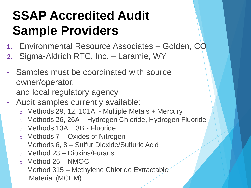## **SSAP Accredited Audit Sample Providers**

- 1. Environmental Resource Associates Golden, CO
- 2. Sigma-Aldrich RTC, Inc. Laramie, WY
- Samples must be coordinated with source owner/operator, and local regulatory agency
- Audit samples currently available:
	- $\circ$  Methods 29, 12, 101A Multiple Metals + Mercury
	- o Methods 26, 26A Hydrogen Chloride, Hydrogen Fluoride
	- o Methods 13A, 13B Fluoride
	- o Methods 7 Oxides of Nitrogen
	- o Methods 6, 8 Sulfur Dioxide/Sulfuric Acid
	- o Method 23 Dioxins/Furans
	- o Method 25 NMOC
	- o Method 315 Methylene Chloride Extractable Material (MCEM)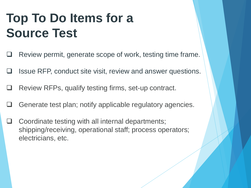## **Top To Do Items for a Source Test**

- $\Box$  Review permit, generate scope of work, testing time frame.
- Issue RFP, conduct site visit, review and answer questions.
- Review RFPs, qualify testing firms, set-up contract.
- $\Box$  Generate test plan; notify applicable regulatory agencies.
- Coordinate testing with all internal departments; shipping/receiving, operational staff; process operators; electricians, etc.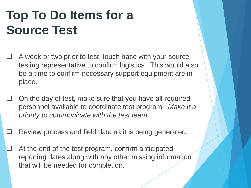## **Top To Do Items for a Source Test**

- A week or two prior to test, touch base with your source testing representative to confirm logistics. This would also be a time to confirm necessary support equipment are in place.
- On the day of test, make sure that you have all required personnel available to coordinate test program. *Make it a priority to communicate with the test team.*
- Review process and field data as it is being generated.
- $\Box$  At the end of the test program, confirm anticipated reporting dates along with any other missing information that will be needed for completion.